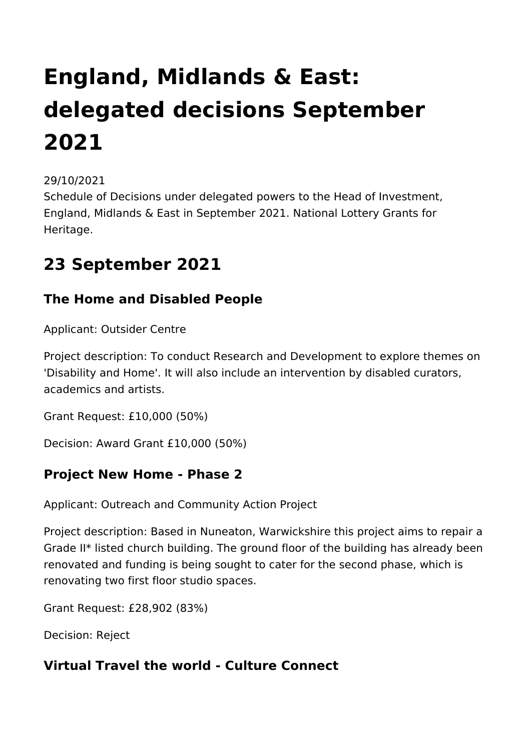# **England, Midlands & East: delegated decisions September 2021**

#### 29/10/2021

Schedule of Decisions under delegated powers to the Head of Investment, England, Midlands & East in September 2021. National Lottery Grants for Heritage.

### **23 September 2021**

#### **The Home and Disabled People**

Applicant: Outsider Centre

Project description: To conduct Research and Development to explore themes on 'Disability and Home'. It will also include an intervention by disabled curators, academics and artists.

Grant Request: £10,000 (50%)

Decision: Award Grant £10,000 (50%)

#### **Project New Home - Phase 2**

Applicant: Outreach and Community Action Project

Project description: Based in Nuneaton, Warwickshire this project aims to repair a Grade II\* listed church building. The ground floor of the building has already been renovated and funding is being sought to cater for the second phase, which is renovating two first floor studio spaces.

Grant Request: £28,902 (83%)

Decision: Reject

#### **Virtual Travel the world - Culture Connect**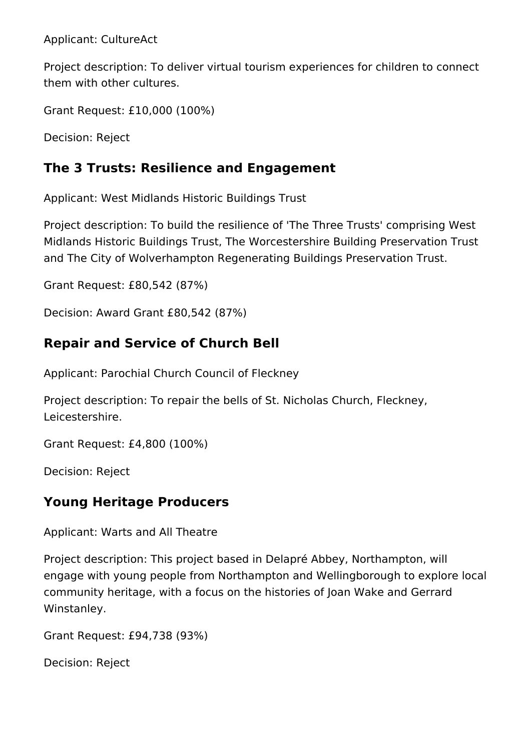Applicant: CultureAct

Project description: To deliver virtual tourism experiences for children to connect them with other cultures.

Grant Request: £10,000 (100%)

Decision: Reject

#### **The 3 Trusts: Resilience and Engagement**

Applicant: West Midlands Historic Buildings Trust

Project description: To build the resilience of 'The Three Trusts' comprising West Midlands Historic Buildings Trust, The Worcestershire Building Preservation Trust and The City of Wolverhampton Regenerating Buildings Preservation Trust.

Grant Request: £80,542 (87%)

Decision: Award Grant £80,542 (87%)

#### **Repair and Service of Church Bell**

Applicant: Parochial Church Council of Fleckney

Project description: To repair the bells of St. Nicholas Church, Fleckney, Leicestershire.

Grant Request: £4,800 (100%)

Decision: Reject

#### **Young Heritage Producers**

Applicant: Warts and All Theatre

Project description: This project based in Delapré Abbey, Northampton, will engage with young people from Northampton and Wellingborough to explore local community heritage, with a focus on the histories of Joan Wake and Gerrard Winstanley.

Grant Request: £94,738 (93%)

Decision: Reject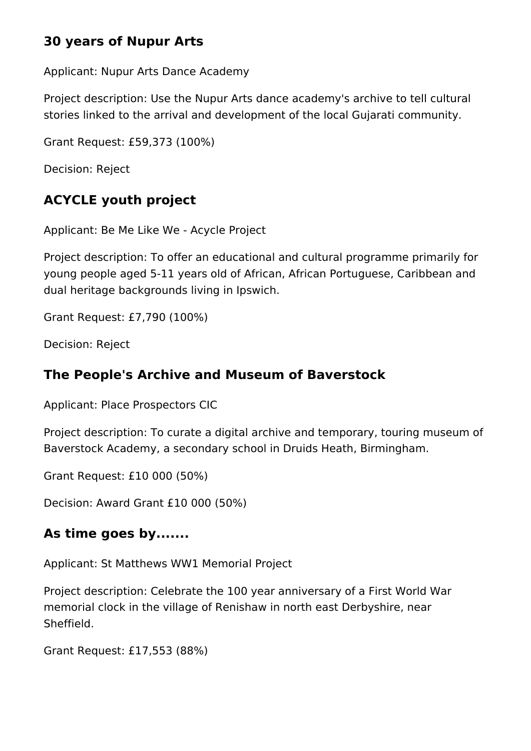#### **30 years of Nupur Arts**

Applicant: Nupur Arts Dance Academy

Project description: Use the Nupur Arts dance academy's archive to tell cultural stories linked to the arrival and development of the local Gujarati community.

Grant Request: £59,373 (100%)

Decision: Reject

#### **ACYCLE youth project**

Applicant: Be Me Like We - Acycle Project

Project description: To offer an educational and cultural programme primarily for young people aged 5-11 years old of African, African Portuguese, Caribbean and dual heritage backgrounds living in Ipswich.

Grant Request: £7,790 (100%)

Decision: Reject

#### **The People's Archive and Museum of Baverstock**

Applicant: Place Prospectors CIC

Project description: To curate a digital archive and temporary, touring museum of Baverstock Academy, a secondary school in Druids Heath, Birmingham.

Grant Request: £10 000 (50%)

Decision: Award Grant £10 000 (50%)

#### **As time goes by.......**

Applicant: St Matthews WW1 Memorial Project

Project description: Celebrate the 100 year anniversary of a First World War memorial clock in the village of Renishaw in north east Derbyshire, near Sheffield.

Grant Request: £17,553 (88%)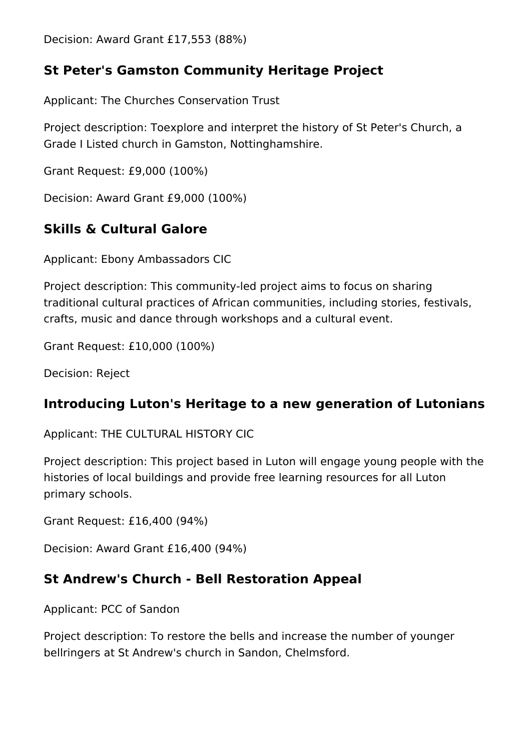Decision: Award Grant £17,553 (88%)

#### **St Peter's Gamston Community Heritage Project**

Applicant: The Churches Conservation Trust

Project description: Toexplore and interpret the history of St Peter's Church, a Grade I Listed church in Gamston, Nottinghamshire.

Grant Request: £9,000 (100%)

Decision: Award Grant £9,000 (100%)

#### **Skills & Cultural Galore**

Applicant: Ebony Ambassadors CIC

Project description: This community-led project aims to focus on sharing traditional cultural practices of African communities, including stories, festivals, crafts, music and dance through workshops and a cultural event.

Grant Request: £10,000 (100%)

Decision: Reject

#### **Introducing Luton's Heritage to a new generation of Lutonians**

Applicant: THE CULTURAL HISTORY CIC

Project description: This project based in Luton will engage young people with the histories of local buildings and provide free learning resources for all Luton primary schools.

Grant Request: £16,400 (94%)

Decision: Award Grant £16,400 (94%)

#### **St Andrew's Church - Bell Restoration Appeal**

Applicant: PCC of Sandon

Project description: To restore the bells and increase the number of younger bellringers at St Andrew's church in Sandon, Chelmsford.